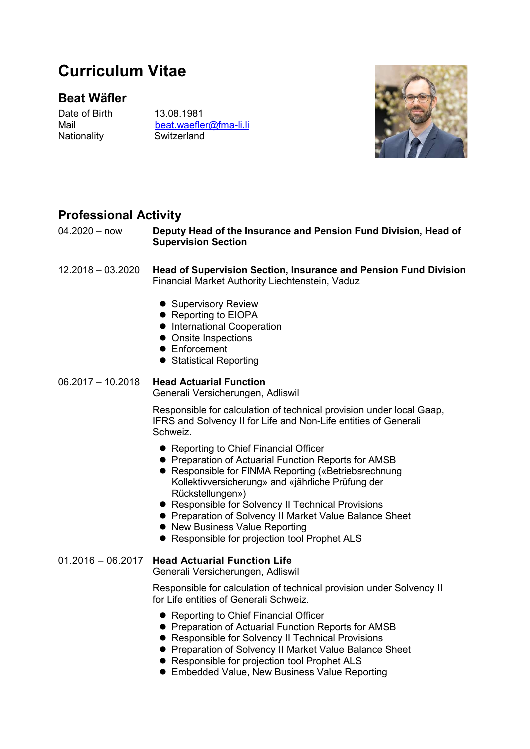# Curriculum Vitae

# Beat Wäfler

Date of Birth 13.08.1981 Nationality Switzerland

Mail beat.waefler@fma-li.li



# Professional Activity

04.2020 – now Deputy Head of the Insurance and Pension Fund Division, Head of Supervision Section

12.2018 – 03.2020 Head of Supervision Section, Insurance and Pension Fund Division Financial Market Authority Liechtenstein, Vaduz

- Supervisory Review
- Reporting to EIOPA
- **•** International Cooperation
- Onsite Inspections
- **•** Enforcement
- Statistical Reporting

06.2017 – 10.2018 Head Actuarial Function

Generali Versicherungen, Adliswil

Responsible for calculation of technical provision under local Gaap, IFRS and Solvency II for Life and Non-Life entities of Generali Schweiz.

- Reporting to Chief Financial Officer
- **Preparation of Actuarial Function Reports for AMSB**
- Responsible for FINMA Reporting («Betriebsrechnung Kollektivversicherung» and «jährliche Prüfung der Rückstellungen»)
- Responsible for Solvency II Technical Provisions
- **Preparation of Solvency II Market Value Balance Sheet**
- New Business Value Reporting
- **Responsible for projection tool Prophet ALS**

#### 01.2016 – 06.2017 Head Actuarial Function Life

Generali Versicherungen, Adliswil

Responsible for calculation of technical provision under Solvency II for Life entities of Generali Schweiz.

- Reporting to Chief Financial Officer
- **Preparation of Actuarial Function Reports for AMSB**
- Responsible for Solvency II Technical Provisions
- **Preparation of Solvency II Market Value Balance Sheet**
- Responsible for projection tool Prophet ALS
- Embedded Value, New Business Value Reporting